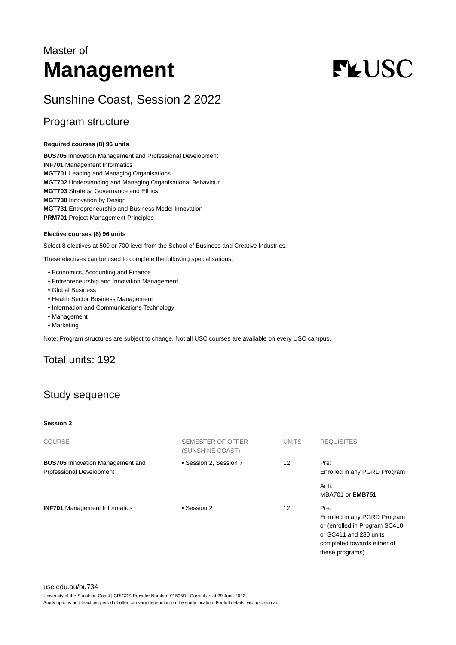## Master of **Management**

# **FLUSC**

## Sunshine Coast, Session 2 2022

## Program structure

#### **Required courses (8) 96 units**

**BUS705** Innovation Management and Professional Development **INF701** Management Informatics **MGT701** Leading and Managing Organisations **MGT702** Understanding and Managing Organisational Behaviour **MGT703** Strategy, Governance and Ethics **MGT730** Innovation by Design **MGT731** Entrepreneurship and Business Model Innovation **PRM701** Project Management Principles

#### **Elective courses (8) 96 units**

Select 8 electives at 500 or 700 level from the School of Business and Creative Industries.

These electives can be used to complete the following specialisations:

- Economics, Accounting and Finance
- Entrepreneurship and Innovation Management
- Global Business
- Health Sector Business Management
- Information and Communications Technology
- Management
- Marketing

Note: Program structures are subject to change. Not all USC courses are available on every USC campus.

## Total units: 192

## Study sequence

#### **Session 2**

| COURSE                                                                     | SEMESTER OF OFFER<br>(SUNSHINE COAST) | <b>UNITS</b> | <b>REQUISITES</b>                                                                                                                                 |
|----------------------------------------------------------------------------|---------------------------------------|--------------|---------------------------------------------------------------------------------------------------------------------------------------------------|
| <b>BUS705</b> Innovation Management and<br><b>Professional Development</b> | • Session 2, Session 7                | 12           | Pre:<br>Enrolled in any PGRD Program                                                                                                              |
|                                                                            |                                       |              | Anti:<br><b>MBA701 or EMB751</b>                                                                                                                  |
| <b>INF701</b> Management Informatics                                       | • Session 2                           | 12           | Pre:<br>Enrolled in any PGRD Program<br>or (enrolled in Program SC410<br>or SC411 and 280 units<br>completed towards either of<br>these programs) |

#### [usc.edu.au/bu734](https://www.usc.edu.au/bu734)

University of the Sunshine Coast | CRICOS Provider Number: 01595D | Correct as at 29 June 2022

Study options and teaching period of offer can vary depending on the study location. For full details, visit usc.edu.au.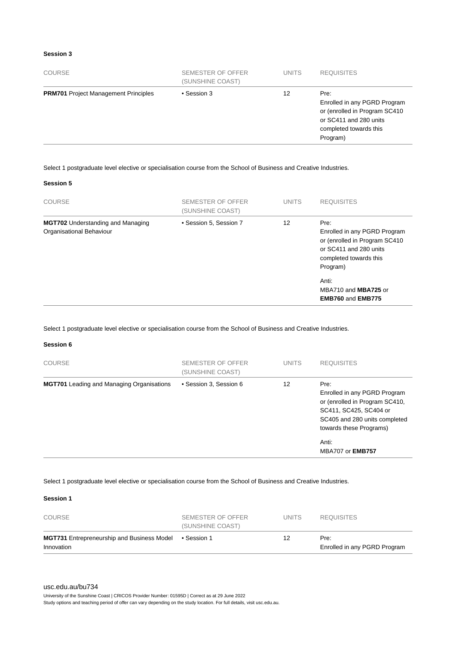#### **Session 3**

| <b>PRM701</b> Project Management Principles<br>• Session 3<br>12<br>Pre:<br>or SC411 and 280 units<br>completed towards this | <b>COURSE</b> | SEMESTER OF OFFER<br>(SUNSHINE COAST) | <b>UNITS</b> | <b>REQUISITES</b>                                                         |
|------------------------------------------------------------------------------------------------------------------------------|---------------|---------------------------------------|--------------|---------------------------------------------------------------------------|
|                                                                                                                              |               |                                       |              | Enrolled in any PGRD Program<br>or (enrolled in Program SC410<br>Program) |

Select 1 postgraduate level elective or specialisation course from the School of Business and Creative Industries.

#### **Session 5**

| <b>COURSE</b>                                                        | SEMESTER OF OFFER<br>(SUNSHINE COAST) | <b>UNITS</b> | <b>REQUISITES</b>                                                                                                                              |
|----------------------------------------------------------------------|---------------------------------------|--------------|------------------------------------------------------------------------------------------------------------------------------------------------|
| <b>MGT702</b> Understanding and Managing<br>Organisational Behaviour | • Session 5, Session 7                | 12           | Pre:<br>Enrolled in any PGRD Program<br>or (enrolled in Program SC410<br>or SC411 and 280 units<br>completed towards this<br>Program)<br>Anti: |
|                                                                      |                                       |              | MBA710 and MBA725 or<br><b>EMB760 and EMB775</b>                                                                                               |

Select 1 postgraduate level elective or specialisation course from the School of Business and Creative Industries.

#### **Session 6**

| <b>COURSE</b>                                    | SEMESTER OF OFFER<br>(SUNSHINE COAST) | <b>UNITS</b> | <b>REQUISITES</b>                                                                                                                                            |
|--------------------------------------------------|---------------------------------------|--------------|--------------------------------------------------------------------------------------------------------------------------------------------------------------|
| <b>MGT701</b> Leading and Managing Organisations | • Session 3, Session 6                | 12           | Pre:<br>Enrolled in any PGRD Program<br>or (enrolled in Program SC410,<br>SC411, SC425, SC404 or<br>SC405 and 280 units completed<br>towards these Programs) |
|                                                  |                                       |              | Anti:<br><b>MBA707 or EMB757</b>                                                                                                                             |

#### Select 1 postgraduate level elective or specialisation course from the School of Business and Creative Industries.

#### **Session 1**

| COURSE                                                          | SEMESTER OF OFFER<br>(SUNSHINE COAST) | UNITS. | <b>REQUISITES</b>                    |
|-----------------------------------------------------------------|---------------------------------------|--------|--------------------------------------|
| <b>MGT731</b> Entrepreneurship and Business Model<br>Innovation | ● Session 1                           | 12     | Pre:<br>Enrolled in any PGRD Program |

#### [usc.edu.au/bu734](https://www.usc.edu.au/bu734)

University of the Sunshine Coast | CRICOS Provider Number: 01595D | Correct as at 29 June 2022 Study options and teaching period of offer can vary depending on the study location. For full details, visit usc.edu.au.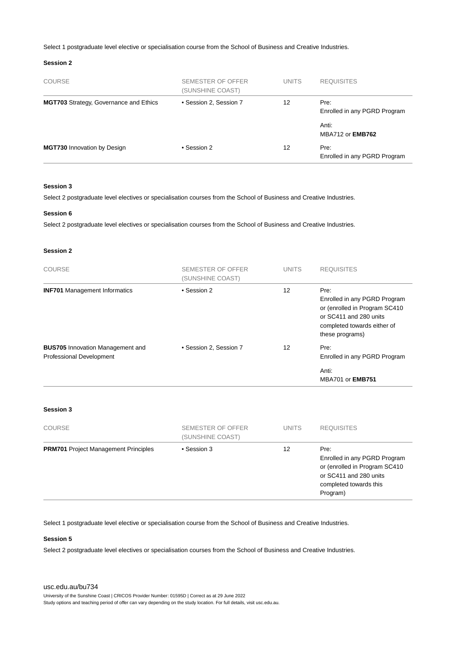Select 1 postgraduate level elective or specialisation course from the School of Business and Creative Industries.

#### **Session 2**

| <b>COURSE</b>                                 | SEMESTER OF OFFER<br>(SUNSHINE COAST) | <b>UNITS</b> | <b>REQUISITES</b>                    |
|-----------------------------------------------|---------------------------------------|--------------|--------------------------------------|
| <b>MGT703</b> Strategy, Governance and Ethics | • Session 2, Session 7                | 12           | Pre:<br>Enrolled in any PGRD Program |
|                                               |                                       |              | Anti:<br>MBA712 or <b>EMB762</b>     |
| <b>MGT730 Innovation by Design</b>            | • Session 2                           | 12           | Pre:<br>Enrolled in any PGRD Program |

#### **Session 3**

Select 2 postgraduate level electives or specialisation courses from the School of Business and Creative Industries.

#### **Session 6**

Select 2 postgraduate level electives or specialisation courses from the School of Business and Creative Industries.

#### **Session 2**

| <b>COURSE</b>                                                              | SEMESTER OF OFFER<br>(SUNSHINE COAST) | <b>UNITS</b> | <b>REQUISITES</b>                                                                                                                                 |
|----------------------------------------------------------------------------|---------------------------------------|--------------|---------------------------------------------------------------------------------------------------------------------------------------------------|
| <b>INF701</b> Management Informatics                                       | • Session 2                           | 12           | Pre:<br>Enrolled in any PGRD Program<br>or (enrolled in Program SC410<br>or SC411 and 280 units<br>completed towards either of<br>these programs) |
| <b>BUS705</b> Innovation Management and<br><b>Professional Development</b> | • Session 2, Session 7                | 12           | Pre:<br>Enrolled in any PGRD Program<br>Anti:<br><b>MBA701 or EMB751</b>                                                                          |

#### **Session 3**

| <b>COURSE</b>                               | SEMESTER OF OFFER<br>(SUNSHINE COAST) | <b>UNITS</b> | <b>REQUISITES</b>                                                                                                                     |
|---------------------------------------------|---------------------------------------|--------------|---------------------------------------------------------------------------------------------------------------------------------------|
| <b>PRM701</b> Project Management Principles | • Session 3                           | 12           | Pre:<br>Enrolled in any PGRD Program<br>or (enrolled in Program SC410<br>or SC411 and 280 units<br>completed towards this<br>Program) |

Select 1 postgraduate level elective or specialisation course from the School of Business and Creative Industries.

#### **Session 5**

Select 2 postgraduate level electives or specialisation courses from the School of Business and Creative Industries.

#### [usc.edu.au/bu734](https://www.usc.edu.au/bu734)

University of the Sunshine Coast | CRICOS Provider Number: 01595D | Correct as at 29 June 2022

Study options and teaching period of offer can vary depending on the study location. For full details, visit usc.edu.au.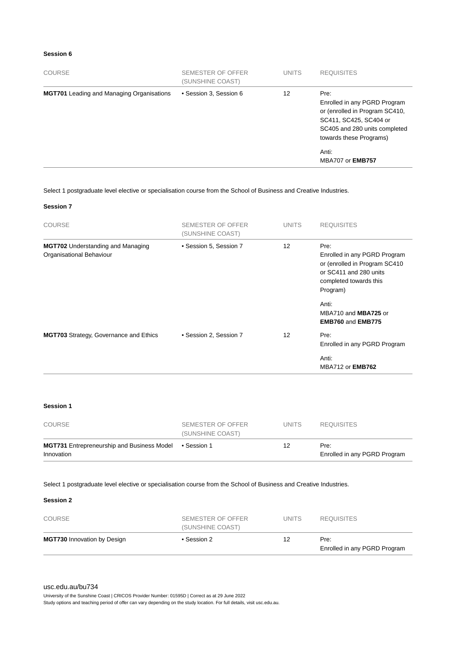#### **Session 6**

| <b>COURSE</b>                                    | SEMESTER OF OFFER<br>(SUNSHINE COAST) | <b>UNITS</b> | <b>REQUISITES</b>                                                                                                                                            |
|--------------------------------------------------|---------------------------------------|--------------|--------------------------------------------------------------------------------------------------------------------------------------------------------------|
| <b>MGT701</b> Leading and Managing Organisations | • Session 3, Session 6                | 12           | Pre:<br>Enrolled in any PGRD Program<br>or (enrolled in Program SC410,<br>SC411, SC425, SC404 or<br>SC405 and 280 units completed<br>towards these Programs) |
|                                                  |                                       |              | Anti:<br><b>MBA707 or EMB757</b>                                                                                                                             |

Select 1 postgraduate level elective or specialisation course from the School of Business and Creative Industries.

#### **Session 7**

| <b>COURSE</b>                                                        | <b>SEMESTER OF OFFER</b><br>(SUNSHINE COAST) | <b>UNITS</b>      | <b>REQUISITES</b>                                                                                                                     |
|----------------------------------------------------------------------|----------------------------------------------|-------------------|---------------------------------------------------------------------------------------------------------------------------------------|
| <b>MGT702</b> Understanding and Managing<br>Organisational Behaviour | • Session 5, Session 7                       | 12                | Pre:<br>Enrolled in any PGRD Program<br>or (enrolled in Program SC410<br>or SC411 and 280 units<br>completed towards this<br>Program) |
|                                                                      |                                              |                   | Anti:<br>MBA710 and MBA725 or<br><b>EMB760 and EMB775</b>                                                                             |
| <b>MGT703</b> Strategy, Governance and Ethics                        | • Session 2, Session 7                       | $12 \overline{ }$ | Pre:<br>Enrolled in any PGRD Program                                                                                                  |
|                                                                      |                                              |                   | Anti:<br>MBA712 or <b>EMB762</b>                                                                                                      |

#### **Session 1**

| COURSE                                                          | SEMESTER OF OFFER<br>(SUNSHINE COAST) | UNITS | <b>REQUISITES</b>                    |
|-----------------------------------------------------------------|---------------------------------------|-------|--------------------------------------|
| <b>MGT731</b> Entrepreneurship and Business Model<br>Innovation | ● Session 1                           | 12    | Pre:<br>Enrolled in any PGRD Program |

#### Select 1 postgraduate level elective or specialisation course from the School of Business and Creative Industries.

#### **Session 2**

| COURSE                             | SEMESTER OF OFFER<br>(SUNSHINE COAST) | <b>UNITS</b> | <b>REQUISITES</b>                    |
|------------------------------------|---------------------------------------|--------------|--------------------------------------|
| <b>MGT730</b> Innovation by Design | • Session 2                           | 12           | Pre:<br>Enrolled in any PGRD Program |

University of the Sunshine Coast | CRICOS Provider Number: 01595D | Correct as at 29 June 2022

Study options and teaching period of offer can vary depending on the study location. For full details, visit usc.edu.au.